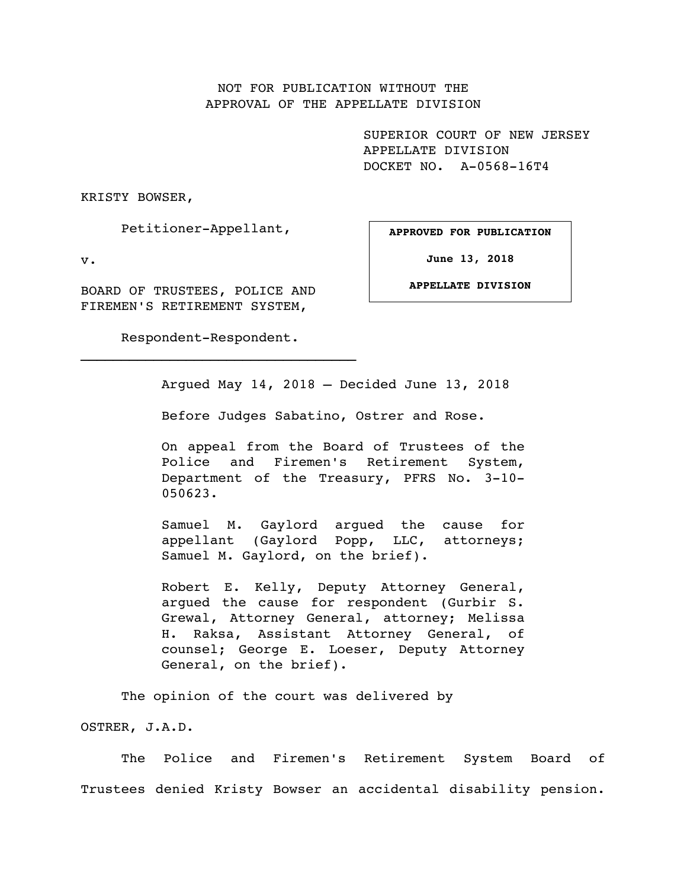## NOT FOR PUBLICATION WITHOUT THE APPROVAL OF THE APPELLATE DIVISION

SUPERIOR COURT OF NEW JERSEY APPELLATE DIVISION DOCKET NO. A-0568-16T4

KRISTY BOWSER,

Petitioner-Appellant,

v.

BOARD OF TRUSTEES, POLICE AND FIREMEN'S RETIREMENT SYSTEM,

Respondent-Respondent.

 $\mathcal{L}_\text{max}$ 

**APPROVED FOR PUBLICATION**

**June 13, 2018**

**APPELLATE DIVISION**

Argued May 14, 2018 – Decided June 13, 2018

Before Judges Sabatino, Ostrer and Rose.

On appeal from the Board of Trustees of the Police and Firemen's Retirement System, Department of the Treasury, PFRS No. 3-10- 050623.

Samuel M. Gaylord argued the cause for appellant (Gaylord Popp, LLC, attorneys; Samuel M. Gaylord, on the brief).

Robert E. Kelly, Deputy Attorney General, argued the cause for respondent (Gurbir S. Grewal, Attorney General, attorney; Melissa H. Raksa, Assistant Attorney General, of counsel; George E. Loeser, Deputy Attorney General, on the brief).

The opinion of the court was delivered by

OSTRER, J.A.D.

The Police and Firemen's Retirement System Board of Trustees denied Kristy Bowser an accidental disability pension.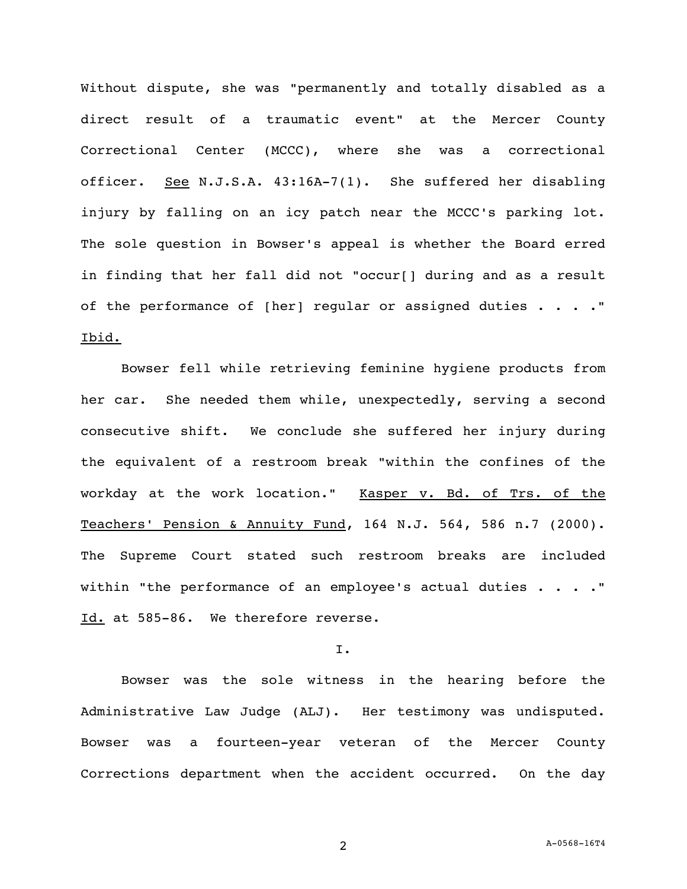Without dispute, she was "permanently and totally disabled as a direct result of a traumatic event" at the Mercer County Correctional Center (MCCC), where she was a correctional officer. See N.J.S.A. 43:16A-7(1). She suffered her disabling injury by falling on an icy patch near the MCCC's parking lot. The sole question in Bowser's appeal is whether the Board erred in finding that her fall did not "occur[] during and as a result of the performance of [her] regular or assigned duties . . . . " Ibid.

Bowser fell while retrieving feminine hygiene products from her car. She needed them while, unexpectedly, serving a second consecutive shift. We conclude she suffered her injury during the equivalent of a restroom break "within the confines of the workday at the work location." Kasper v. Bd. of Trs. of the Teachers' Pension & Annuity Fund, 164 N.J. 564, 586 n.7 (2000). The Supreme Court stated such restroom breaks are included within "the performance of an employee's actual duties  $\ldots$ ." Id. at 585-86. We therefore reverse.

## I.

Bowser was the sole witness in the hearing before the Administrative Law Judge (ALJ). Her testimony was undisputed. Bowser was a fourteen-year veteran of the Mercer County Corrections department when the accident occurred. On the day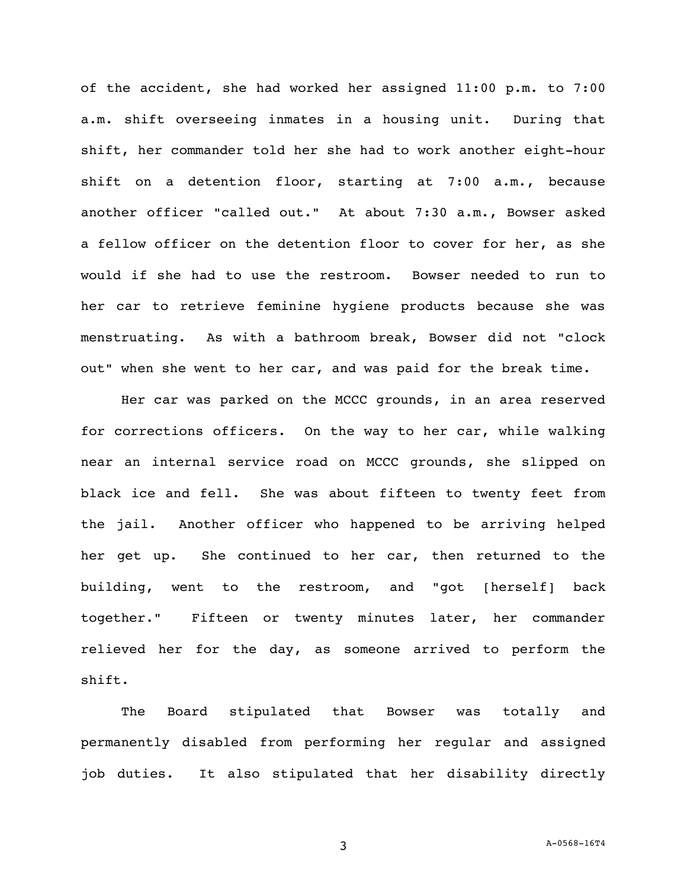of the accident, she had worked her assigned 11:00 p.m. to 7:00 a.m. shift overseeing inmates in a housing unit. During that shift, her commander told her she had to work another eight-hour shift on a detention floor, starting at 7:00 a.m., because another officer "called out." At about 7:30 a.m., Bowser asked a fellow officer on the detention floor to cover for her, as she would if she had to use the restroom. Bowser needed to run to her car to retrieve feminine hygiene products because she was menstruating. As with a bathroom break, Bowser did not "clock out" when she went to her car, and was paid for the break time.

Her car was parked on the MCCC grounds, in an area reserved for corrections officers. On the way to her car, while walking near an internal service road on MCCC grounds, she slipped on black ice and fell. She was about fifteen to twenty feet from the jail. Another officer who happened to be arriving helped her get up. She continued to her car, then returned to the building, went to the restroom, and "got [herself] back together." Fifteen or twenty minutes later, her commander relieved her for the day, as someone arrived to perform the shift.

The Board stipulated that Bowser was totally and permanently disabled from performing her regular and assigned job duties. It also stipulated that her disability directly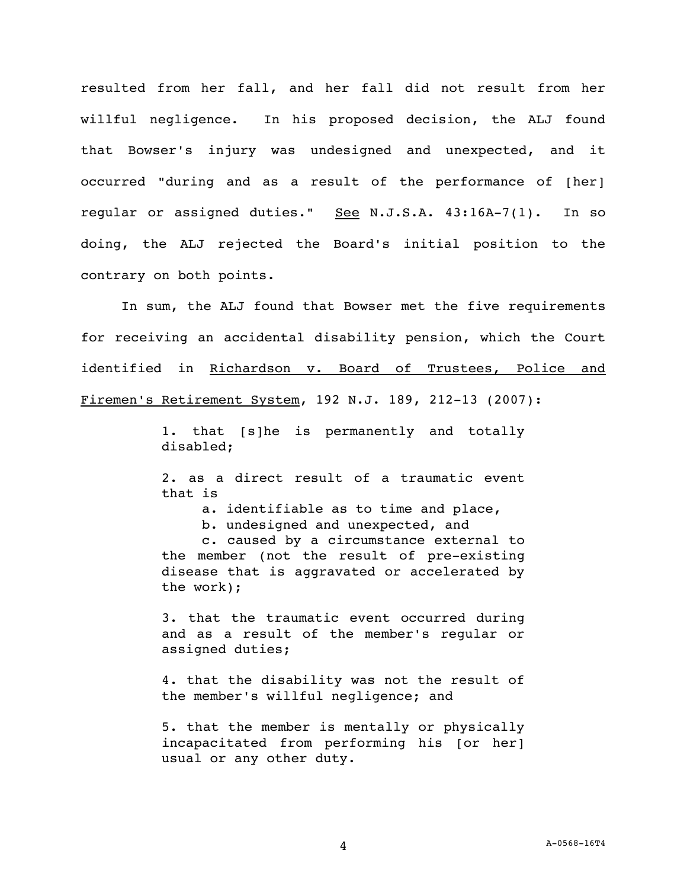resulted from her fall, and her fall did not result from her willful negligence. In his proposed decision, the ALJ found that Bowser's injury was undesigned and unexpected, and it occurred "during and as a result of the performance of [her] regular or assigned duties." See N.J.S.A.  $43:16A-7(1)$ . In so doing, the ALJ rejected the Board's initial position to the contrary on both points.

In sum, the ALJ found that Bowser met the five requirements for receiving an accidental disability pension, which the Court identified in Richardson v. Board of Trustees, Police and Firemen's Retirement System, 192 N.J. 189, 212-13 (2007):

> 1. that [s]he is permanently and totally disabled;

> 2. as a direct result of a traumatic event that is

a. identifiable as to time and place,

b. undesigned and unexpected, and

c. caused by a circumstance external to the member (not the result of pre-existing disease that is aggravated or accelerated by the work);

3. that the traumatic event occurred during and as a result of the member's regular or assigned duties;

4. that the disability was not the result of the member's willful negligence; and

5. that the member is mentally or physically incapacitated from performing his [or her] usual or any other duty.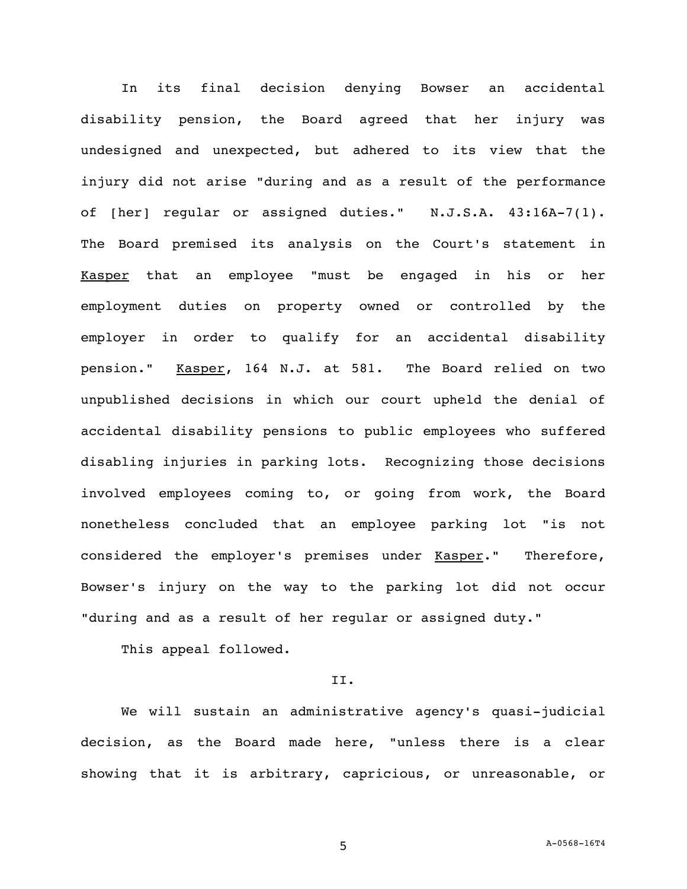In its final decision denying Bowser an accidental disability pension, the Board agreed that her injury was undesigned and unexpected, but adhered to its view that the injury did not arise "during and as a result of the performance of [her] regular or assigned duties." N.J.S.A. 43:16A-7(1). The Board premised its analysis on the Court's statement in Kasper that an employee "must be engaged in his or her employment duties on property owned or controlled by the employer in order to qualify for an accidental disability pension." Kasper, 164 N.J. at 581. The Board relied on two unpublished decisions in which our court upheld the denial of accidental disability pensions to public employees who suffered disabling injuries in parking lots. Recognizing those decisions involved employees coming to, or going from work, the Board nonetheless concluded that an employee parking lot "is not considered the employer's premises under Kasper." Therefore, Bowser's injury on the way to the parking lot did not occur "during and as a result of her regular or assigned duty."

This appeal followed.

## II.

We will sustain an administrative agency's quasi-judicial decision, as the Board made here, "unless there is a clear showing that it is arbitrary, capricious, or unreasonable, or

5 A-0568-16T4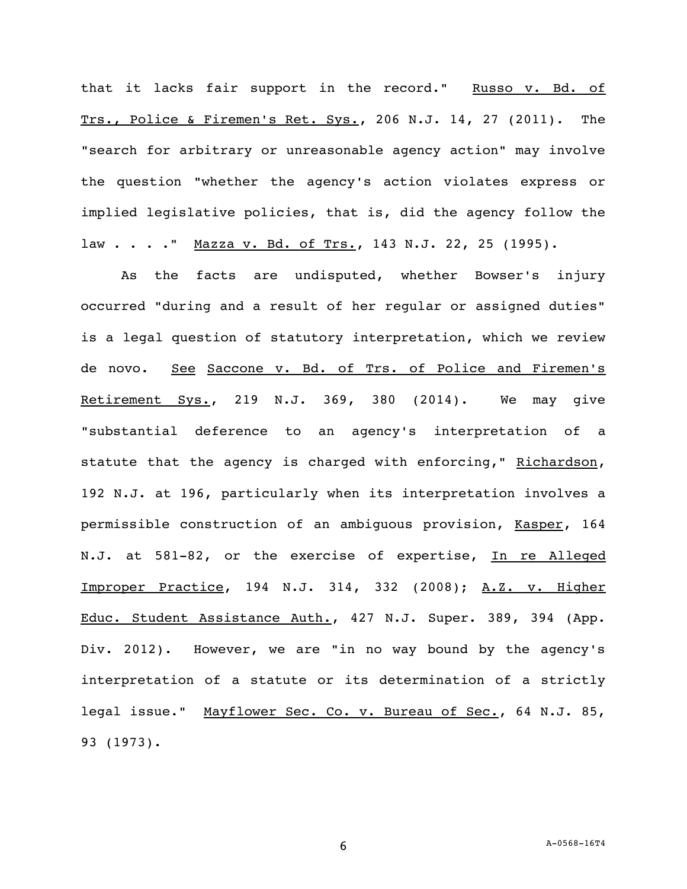that it lacks fair support in the record." Russo v. Bd. of Trs., Police & Firemen's Ret. Sys., 206 N.J. 14, 27 (2011). The "search for arbitrary or unreasonable agency action" may involve the question "whether the agency's action violates express or implied legislative policies, that is, did the agency follow the law . . . . " Mazza v. Bd. of Trs., 143 N.J. 22, 25 (1995).

As the facts are undisputed, whether Bowser's injury occurred "during and a result of her regular or assigned duties" is a legal question of statutory interpretation, which we review de novo. See Saccone v. Bd. of Trs. of Police and Firemen's Retirement Sys., 219 N.J. 369, 380 (2014). We may give "substantial deference to an agency's interpretation of a statute that the agency is charged with enforcing," Richardson, 192 N.J. at 196, particularly when its interpretation involves a permissible construction of an ambiguous provision, Kasper, 164 N.J. at 581-82, or the exercise of expertise, In re Alleged Improper Practice, 194 N.J. 314, 332 (2008); A.Z*.* v. Higher Educ. Student Assistance Auth., 427 N.J. Super. 389, 394 (App. Div. 2012). However, we are "in no way bound by the agency's interpretation of a statute or its determination of a strictly legal issue." Mayflower Sec. Co. v. Bureau of Sec., 64 N.J. 85, 93 (1973).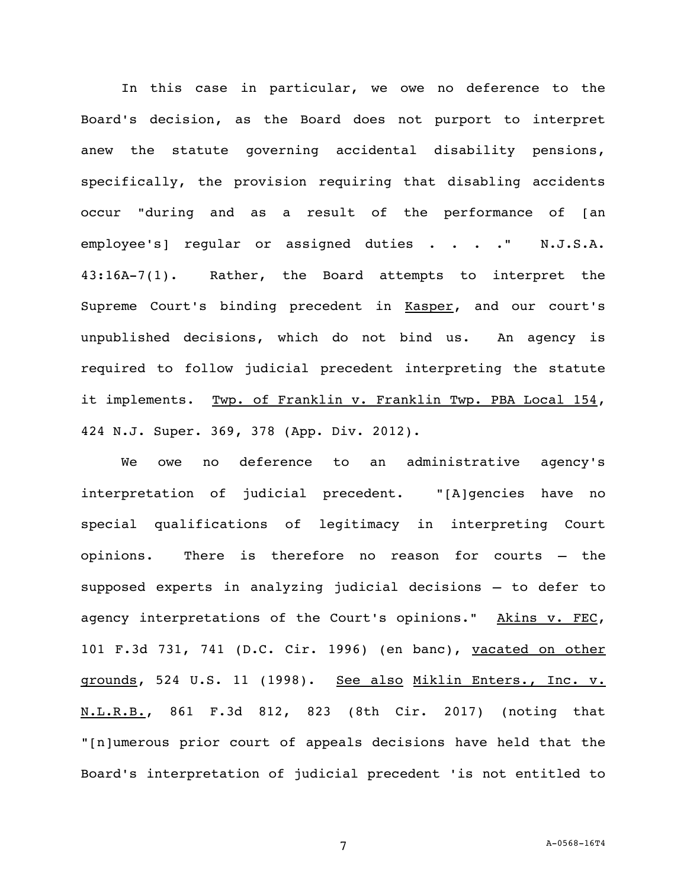In this case in particular, we owe no deference to the Board's decision, as the Board does not purport to interpret anew the statute governing accidental disability pensions, specifically, the provision requiring that disabling accidents occur "during and as a result of the performance of [an employee's] regular or assigned duties . . . . " N.J.S.A. 43:16A-7(1). Rather, the Board attempts to interpret the Supreme Court's binding precedent in Kasper, and our court's unpublished decisions, which do not bind us. An agency is required to follow judicial precedent interpreting the statute it implements. Twp. of Franklin v. Franklin Twp. PBA Local 154, 424 N.J. Super. 369, 378 (App. Div. 2012).

We owe no deference to an administrative agency's interpretation of judicial precedent. "[A]gencies have no special qualifications of legitimacy in interpreting Court opinions. There is therefore no reason for courts – the supposed experts in analyzing judicial decisions – to defer to agency interpretations of the Court's opinions." Akins v. FEC, 101 F.3d 731, 741 (D.C. Cir. 1996) (en banc), vacated on other grounds, 524 U.S. 11 (1998). See also Miklin Enters., Inc. v. N.L.R.B., 861 F.3d 812, 823 (8th Cir. 2017) (noting that "[n]umerous prior court of appeals decisions have held that the Board's interpretation of judicial precedent 'is not entitled to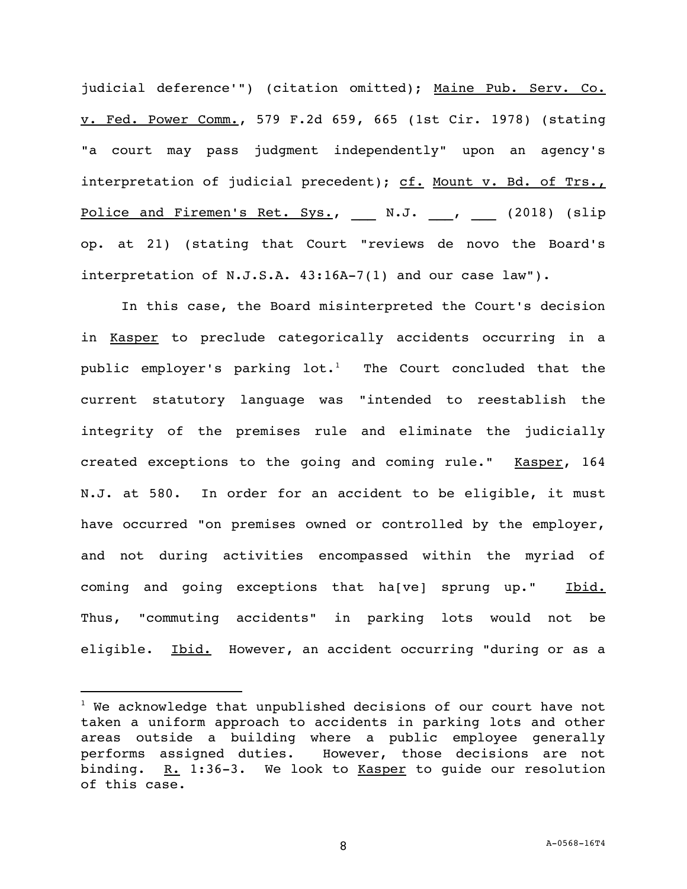judicial deference'") (citation omitted); Maine Pub. Serv. Co. v. Fed. Power Comm., 579 F.2d 659, 665 (1st Cir. 1978) (stating "a court may pass judgment independently" upon an agency's interpretation of judicial precedent); cf. Mount v. Bd. of Trs., Police and Firemen's Ret. Sys., N.J. , (2018) (slip op. at 21) (stating that Court "reviews de novo the Board's interpretation of N.J.S.A. 43:16A-7(1) and our case law").

In this case, the Board misinterpreted the Court's decision in Kasper to preclude categorically accidents occurring in a public employer's parking lot.<sup>1</sup> The Court concluded that the current statutory language was "intended to reestablish the integrity of the premises rule and eliminate the judicially created exceptions to the going and coming rule." Kasper, 164 N.J. at 580. In order for an accident to be eligible, it must have occurred "on premises owned or controlled by the employer, and not during activities encompassed within the myriad of coming and going exceptions that ha[ve] sprung up." Ibid. Thus, "commuting accidents" in parking lots would not be eligible. Ibid. However, an accident occurring "during or as a

i<br>L

 $1$  We acknowledge that unpublished decisions of our court have not taken a uniform approach to accidents in parking lots and other areas outside a building where a public employee generally performs assigned duties. However, those decisions are not binding. R. 1:36-3. We look to Kasper to guide our resolution of this case.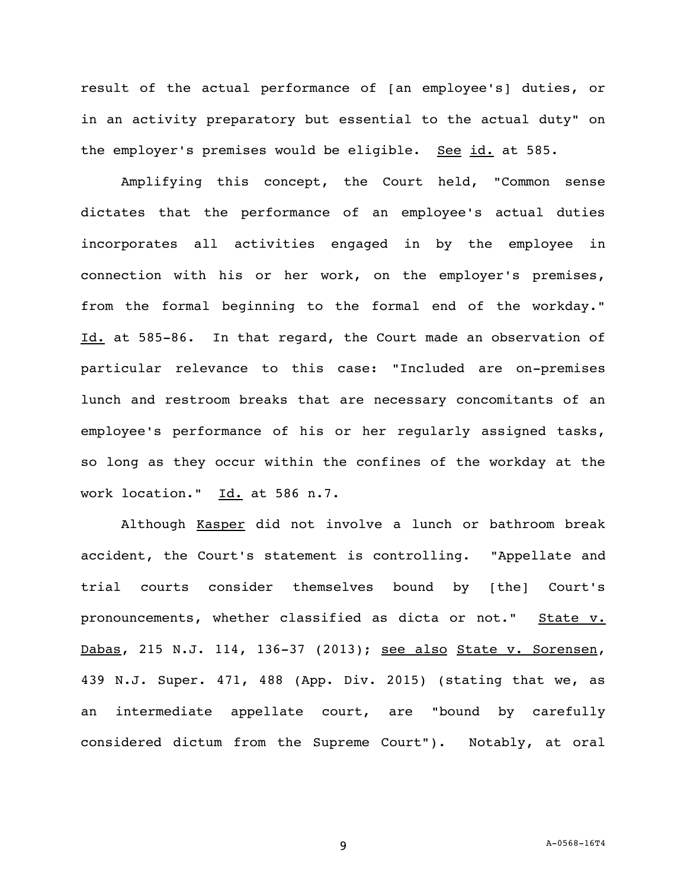result of the actual performance of [an employee's] duties, or in an activity preparatory but essential to the actual duty" on the employer's premises would be eligible. See id. at 585.

Amplifying this concept, the Court held, "Common sense dictates that the performance of an employee's actual duties incorporates all activities engaged in by the employee in connection with his or her work, on the employer's premises, from the formal beginning to the formal end of the workday." Id. at 585-86. In that regard, the Court made an observation of particular relevance to this case: "Included are on-premises lunch and restroom breaks that are necessary concomitants of an employee's performance of his or her regularly assigned tasks, so long as they occur within the confines of the workday at the work location." Id. at 586 n.7.

Although Kasper did not involve a lunch or bathroom break accident, the Court's statement is controlling. "Appellate and trial courts consider themselves bound by [the] Court's pronouncements, whether classified as dicta or not." State v. Dabas, 215 N.J. 114, 136-37 (2013); see also State v. Sorensen, 439 N.J. Super. 471, 488 (App. Div. 2015) (stating that we, as an intermediate appellate court, are "bound by carefully considered dictum from the Supreme Court"). Notably, at oral

9 A-0568-16T4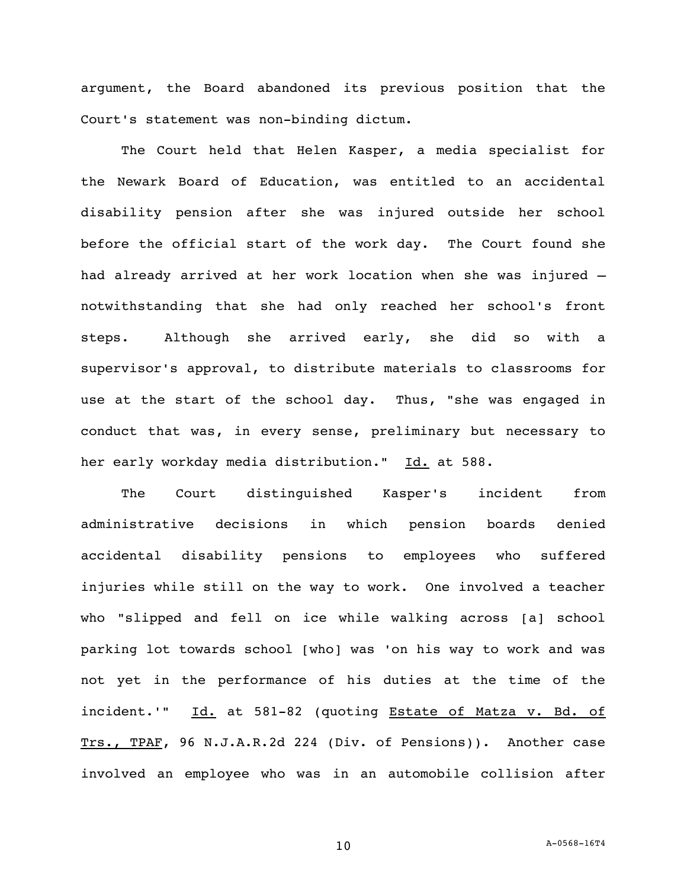argument, the Board abandoned its previous position that the Court's statement was non-binding dictum.

The Court held that Helen Kasper, a media specialist for the Newark Board of Education, was entitled to an accidental disability pension after she was injured outside her school before the official start of the work day. The Court found she had already arrived at her work location when she was injured – notwithstanding that she had only reached her school's front steps. Although she arrived early, she did so with a supervisor's approval, to distribute materials to classrooms for use at the start of the school day. Thus, "she was engaged in conduct that was, in every sense, preliminary but necessary to her early workday media distribution." Id. at 588.

The Court distinguished Kasper's incident from administrative decisions in which pension boards denied accidental disability pensions to employees who suffered injuries while still on the way to work. One involved a teacher who "slipped and fell on ice while walking across [a] school parking lot towards school [who] was 'on his way to work and was not yet in the performance of his duties at the time of the incident.'" Id. at 581-82 (quoting Estate of Matza v. Bd. of Trs., TPAF, 96 N.J.A.R.2d 224 (Div. of Pensions)). Another case involved an employee who was in an automobile collision after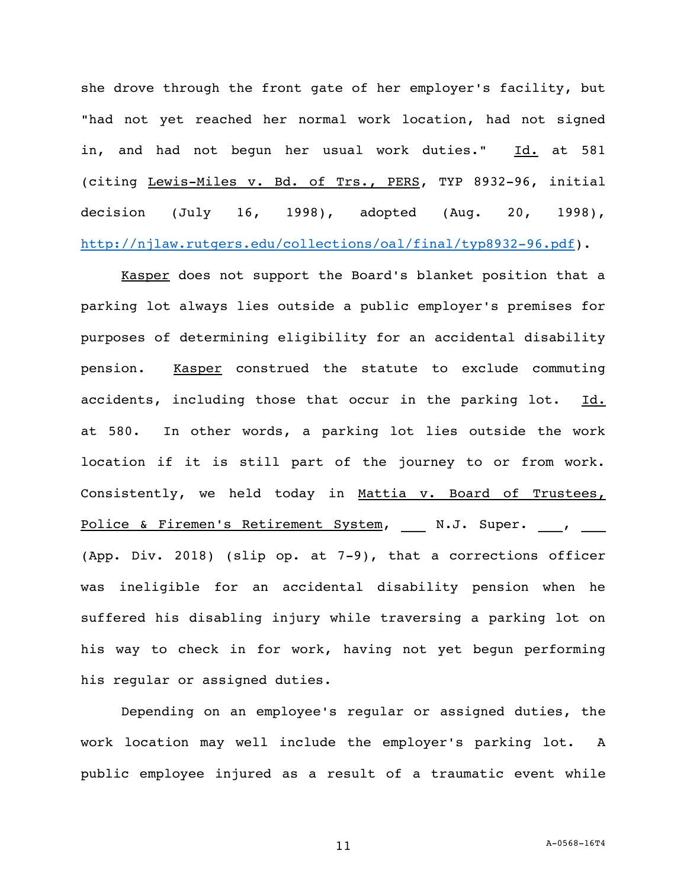she drove through the front gate of her employer's facility, but "had not yet reached her normal work location, had not signed in, and had not begun her usual work duties." Id. at 581 (citing Lewis-Miles v. Bd. of Trs., PERS, TYP 8932-96, initial decision (July 16, 1998), adopted (Aug. 20, 1998), [http://njlaw.rutgers.edu/collections/oal/final/typ8932-96.pdf\)](http://njlaw.rutgers.edu/collections/oal/final/typ8932-96.pdf).

Kasper does not support the Board's blanket position that a parking lot always lies outside a public employer's premises for purposes of determining eligibility for an accidental disability pension. Kasper construed the statute to exclude commuting accidents, including those that occur in the parking lot. Id. at 580. In other words, a parking lot lies outside the work location if it is still part of the journey to or from work. Consistently, we held today in Mattia v. Board of Trustees, Police & Firemen's Retirement System, N.J. Super. , (App. Div. 2018) (slip op. at 7-9), that a corrections officer was ineligible for an accidental disability pension when he suffered his disabling injury while traversing a parking lot on his way to check in for work, having not yet begun performing his regular or assigned duties.

Depending on an employee's regular or assigned duties, the work location may well include the employer's parking lot. A public employee injured as a result of a traumatic event while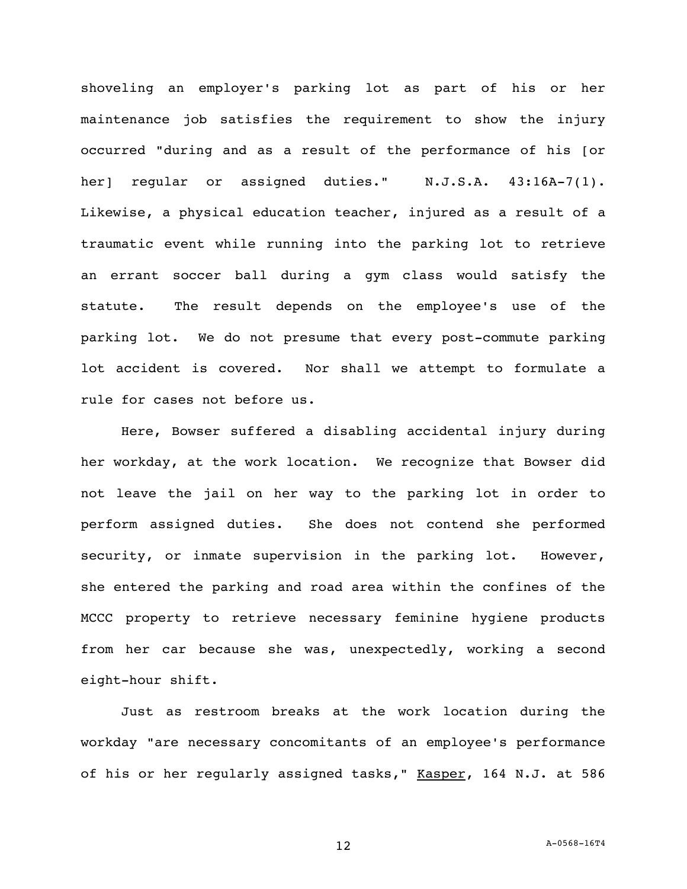shoveling an employer's parking lot as part of his or her maintenance job satisfies the requirement to show the injury occurred "during and as a result of the performance of his [or her] regular or assigned duties." N.J.S.A. 43:16A-7(1). Likewise, a physical education teacher, injured as a result of a traumatic event while running into the parking lot to retrieve an errant soccer ball during a gym class would satisfy the statute. The result depends on the employee's use of the parking lot. We do not presume that every post-commute parking lot accident is covered. Nor shall we attempt to formulate a rule for cases not before us.

Here, Bowser suffered a disabling accidental injury during her workday, at the work location. We recognize that Bowser did not leave the jail on her way to the parking lot in order to perform assigned duties. She does not contend she performed security, or inmate supervision in the parking lot. However, she entered the parking and road area within the confines of the MCCC property to retrieve necessary feminine hygiene products from her car because she was, unexpectedly, working a second eight-hour shift.

Just as restroom breaks at the work location during the workday "are necessary concomitants of an employee's performance of his or her regularly assigned tasks," Kasper, 164 N.J. at 586